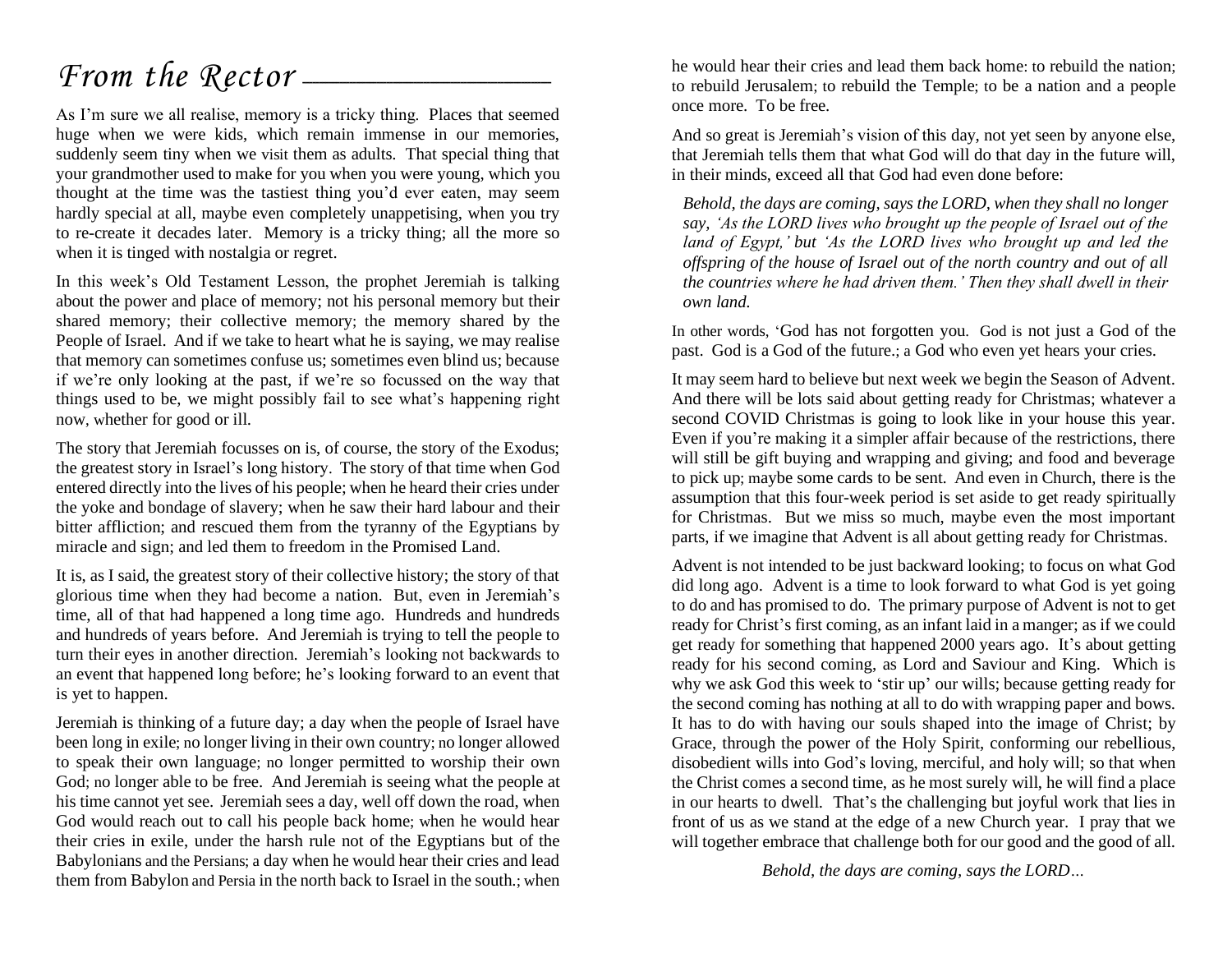# *From the Rector* –

As I'm sure we all realise, memory is a tricky thing. Places that seemed huge when we were kids, which remain immense in our memories, suddenly seem tiny when we visit them as adults. That special thing that your grandmother used to make for you when you were young, which you thought at the time was the tastiest thing you'd ever eaten, may seem hardly special at all, maybe even completely unappetising, when you try to re-create it decades later. Memory is a tricky thing; all the more so when it is tinged with nostalgia or regret.

In this week's Old Testament Lesson, the prophet Jeremiah is talking about the power and place of memory; not his personal memory but their shared memory; their collective memory; the memory shared by the People of Israel. And if we take to heart what he is saying, we may realise that memory can sometimes confuse us; sometimes even blind us; because if we're only looking at the past, if we're so focussed on the way that things used to be, we might possibly fail to see what's happening right now, whether for good or ill.

The story that Jeremiah focusses on is, of course, the story of the Exodus; the greatest story in Israel's long history. The story of that time when God entered directly into the lives of his people; when he heard their cries under the yoke and bondage of slavery; when he saw their hard labour and their bitter affliction; and rescued them from the tyranny of the Egyptians by miracle and sign; and led them to freedom in the Promised Land.

It is, as I said, the greatest story of their collective history; the story of that glorious time when they had become a nation. But, even in Jeremiah's time, all of that had happened a long time ago. Hundreds and hundreds and hundreds of years before. And Jeremiah is trying to tell the people to turn their eyes in another direction. Jeremiah's looking not backwards to an event that happened long before; he's looking forward to an event that is yet to happen.

Jeremiah is thinking of a future day; a day when the people of Israel have been long in exile; no longer living in their own country; no longer allowed to speak their own language; no longer permitted to worship their own God; no longer able to be free. And Jeremiah is seeing what the people at his time cannot yet see. Jeremiah sees a day, well off down the road, when God would reach out to call his people back home; when he would hear their cries in exile, under the harsh rule not of the Egyptians but of the Babylonians and the Persians; a day when he would hear their cries and lead them from Babylon and Persia in the north back to Israel in the south.; when

he would hear their cries and lead them back home: to rebuild the nation; to rebuild Jerusalem; to rebuild the Temple; to be a nation and a people once more. To be free.

And so great is Jeremiah's vision of this day, not yet seen by anyone else, that Jeremiah tells them that what God will do that day in the future will, in their minds, exceed all that God had even done before:

*Behold, the days are coming, says the LORD, when they shall no longer say, 'As the LORD lives who brought up the people of Israel out of the land of Egypt,' but 'As the LORD lives who brought up and led the offspring of the house of Israel out of the north country and out of all the countries where he had driven them.' Then they shall dwell in their own land.*

In other words, 'God has not forgotten you. God is not just a God of the past. God is a God of the future.; a God who even yet hears your cries.

It may seem hard to believe but next week we begin the Season of Advent. And there will be lots said about getting ready for Christmas; whatever a second COVID Christmas is going to look like in your house this year. Even if you're making it a simpler affair because of the restrictions, there will still be gift buying and wrapping and giving; and food and beverage to pick up; maybe some cards to be sent. And even in Church, there is the assumption that this four-week period is set aside to get ready spiritually for Christmas. But we miss so much, maybe even the most important parts, if we imagine that Advent is all about getting ready for Christmas.

Advent is not intended to be just backward looking; to focus on what God did long ago. Advent is a time to look forward to what God is yet going to do and has promised to do. The primary purpose of Advent is not to get ready for Christ's first coming, as an infant laid in a manger; as if we could get ready for something that happened 2000 years ago. It's about getting ready for his second coming, as Lord and Saviour and King. Which is why we ask God this week to 'stir up' our wills; because getting ready for the second coming has nothing at all to do with wrapping paper and bows. It has to do with having our souls shaped into the image of Christ; by Grace, through the power of the Holy Spirit, conforming our rebellious, disobedient wills into God's loving, merciful, and holy will; so that when the Christ comes a second time, as he most surely will, he will find a place in our hearts to dwell. That's the challenging but joyful work that lies in front of us as we stand at the edge of a new Church year. I pray that we will together embrace that challenge both for our good and the good of all.

*Behold, the days are coming, says the LORD…*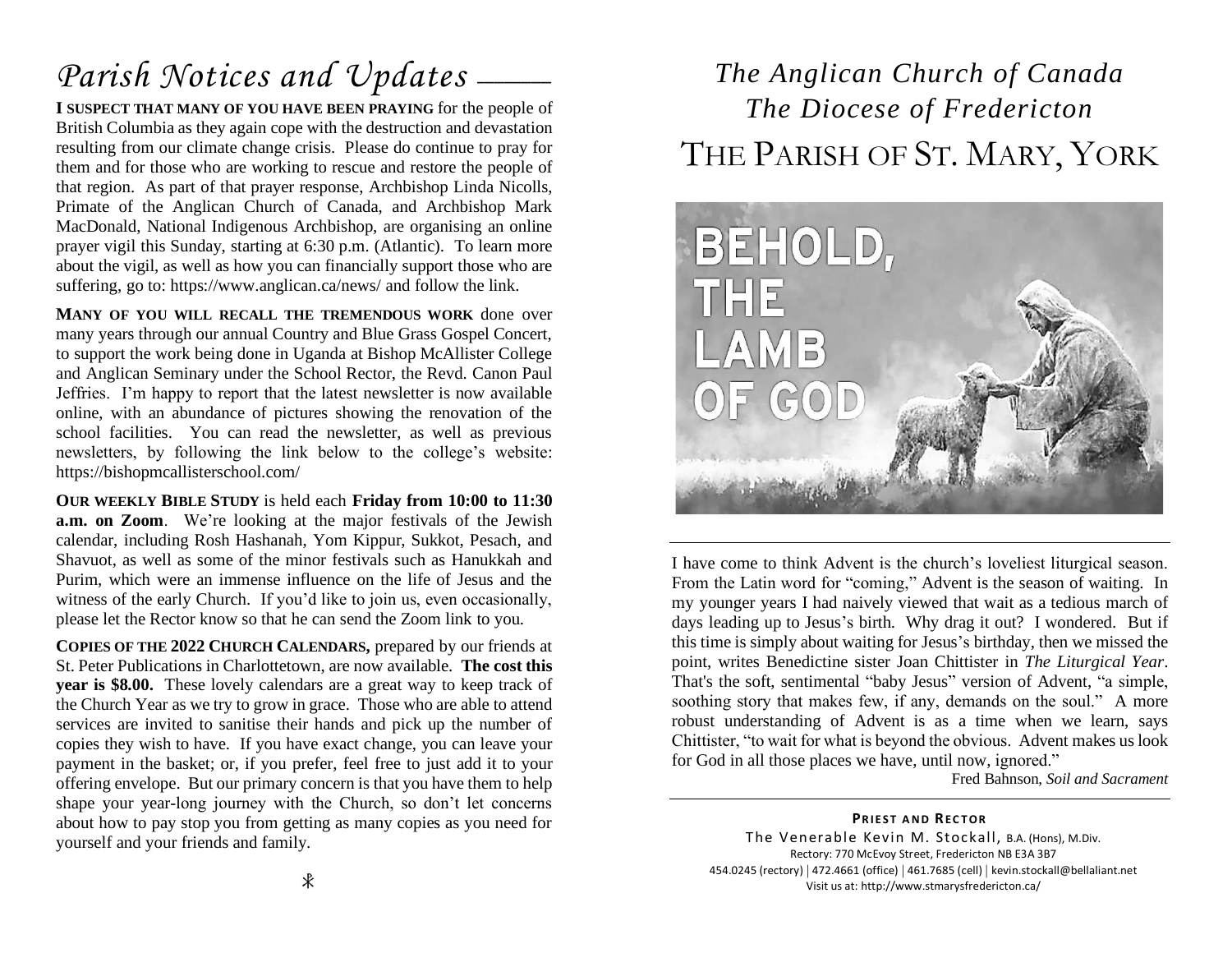# Parish Notices and Updates \_\_\_\_\_

**I SUSPECT THAT MANY OF YOU HAVE BEEN PRAYING** for the people of British Columbia as they again cope with the destruction and devastation resulting from our climate change crisis. Please do continue to pray for them and for those who are working to rescue and restore the people of that region. As part of that prayer response, Archbishop Linda Nicolls, Primate of the Anglican Church of Canada, and Archbishop Mark MacDonald, National Indigenous Archbishop, are organising an online prayer vigil this Sunday, starting at 6:30 p.m. (Atlantic). To learn more about the vigil, as well as how you can financially support those who are suffering, go to: https://www.anglican.ca/news/ and follow the link.

**MANY OF YOU WILL RECALL THE TREMENDOUS WORK** done over many years through our annual Country and Blue Grass Gospel Concert, to support the work being done in Uganda at Bishop McAllister College and Anglican Seminary under the School Rector, the Revd. Canon Paul Jeffries. I'm happy to report that the latest newsletter is now available online, with an abundance of pictures showing the renovation of the school facilities. You can read the newsletter, as well as previous newsletters, by following the link below to the college's website: https://bishopmcallisterschool.com/

**OUR WEEKLY BIBLE STUDY** is held each **Friday from 10:00 to 11:30 a.m. on Zoom**. We're looking at the major festivals of the Jewish calendar, including Rosh Hashanah, Yom Kippur, Sukkot, Pesach, and Shavuot, as well as some of the minor festivals such as Hanukkah and Purim, which were an immense influence on the life of Jesus and the witness of the early Church. If you'd like to join us, even occasionally, please let the Rector know so that he can send the Zoom link to you.

**COPIES OF THE 2022 CHURCH CALENDARS,** prepared by our friends at St. Peter Publications in Charlottetown, are now available. **The cost this year is \$8.00.** These lovely calendars are a great way to keep track of the Church Year as we try to grow in grace. Those who are able to attend services are invited to sanitise their hands and pick up the number of copies they wish to have. If you have exact change, you can leave your payment in the basket; or, if you prefer, feel free to just add it to your offering envelope. But our primary concern is that you have them to help shape your year-long journey with the Church, so don't let concerns about how to pay stop you from getting as many copies as you need for yourself and your friends and family.

# *The Anglican Church of Canada The Diocese of Fredericton* THE PARISH OF ST. MARY, YORK



I have come to think Advent is the church's loveliest liturgical season. From the Latin word for "coming," Advent is the season of waiting. In my younger years I had naively viewed that wait as a tedious march of days leading up to Jesus's birth. Why drag it out? I wondered. But if this time is simply about waiting for Jesus's birthday, then we missed the point, writes Benedictine sister Joan Chittister in *The Liturgical Year*. That's the soft, sentimental "baby Jesus" version of Advent, "a simple, soothing story that makes few, if any, demands on the soul." A more robust understanding of Advent is as a time when we learn, says Chittister, "to wait for what is beyond the obvious. Advent makes us look for God in all those places we have, until now, ignored."

Fred Bahnson, *Soil and Sacrament*

**PRIEST AND RECTOR** The Venerable Kevin M. Stockall, B.A. (Hons), M.Div. Rectory: 770 McEvoy Street, Fredericton NB E3A 3B7 454.0245 (rectory) | 472.4661 (office) | 461.7685 (cell) | kevin.stockall@bellaliant.net Visit us at: http://www.stmarysfredericton.ca/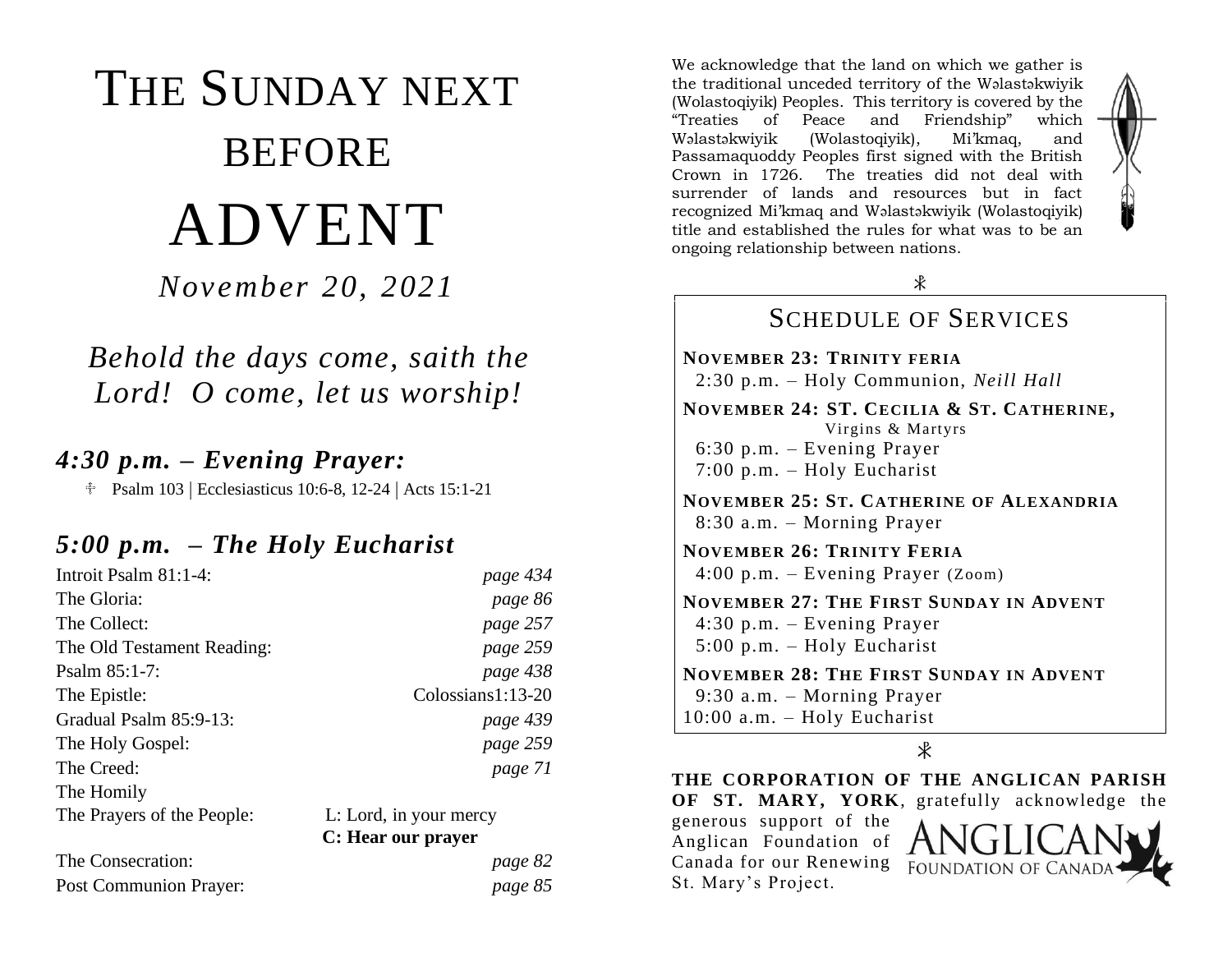# THE SUNDAY NEXT BEFORE ADVENT

*November 20, 2021*

# *Behold the days come, saith the Lord! O come, let us worship!*

## *4:30 p.m. – Evening Prayer:*

<sup> $\text{\textcircled{}}$ </sup> Psalm 103 | Ecclesiasticus 10:6-8, 12-24 | Acts 15:1-21

### *5:00 p.m. – The Holy Eucharist*

| Introit Psalm 81:1-4:         | page 434               |
|-------------------------------|------------------------|
| The Gloria:                   | page 86                |
| The Collect:                  | page 257               |
| The Old Testament Reading:    | page 259               |
| Psalm $85:1-7$ :              | page 438               |
| The Epistle:                  | Colossians1:13-20      |
| Gradual Psalm 85:9-13:        | page 439               |
| The Holy Gospel:              | page 259               |
| The Creed:                    | page 71                |
| The Homily                    |                        |
| The Prayers of the People:    | L: Lord, in your mercy |
|                               | C: Hear our prayer     |
| The Consecration:             | page 82                |
| <b>Post Communion Prayer:</b> | page 85                |

We acknowledge that the land on which we gather is the traditional unceded territory of the Wəlastəkwiyik (Wolastoqiyik) Peoples. This territory is covered by the "Treaties of Peace and Friendship" which Wəlastəkwiyik (Wolastoqiyik), Mi'kmaq, and Passamaquoddy Peoples first signed with the British Crown in 1726. The treaties did not deal with surrender of lands and resources but in fact recognized Mi'kmaq and Wəlastəkwiyik (Wolastoqiyik) title and established the rules for what was to be an ongoing relationship between nations.



 $\ast$ 

#### SCHEDULE OF SERVICES **NOVEMBER 23: TRINITY FERIA** 2:30 p.m. – Holy Communion, *Neill Hall* **NOVEMBER 24: ST. CECILIA & ST. CATHERINE,** Virgins & Martyrs 6:30 p.m. – Evening Prayer 7:00 p.m. – Holy Eucharist **NOVEMBER 25: ST. CATHERINE OF ALEXANDRIA** 8:30 a.m. – Morning Prayer **NOVEMBER 26: TRINITY FERIA** 4:00 p.m. – Evening Prayer (Zoom) **NOVEMBER 27: THE FIRST SUNDAY IN ADVENT** 4:30 p.m. – Evening Prayer 5:00 p.m. – Holy Eucharist **NOVEMBER 28: THE FIRST SUNDAY IN ADVENT** 9:30 a.m. – Morning Prayer

10:00 a.m. – Holy Eucharist

 $\ast$ 

**THE CORPORATION OF THE ANGLICAN PARISH OF ST. MARY, YORK**, gratefully acknowledge the generous support of the Anglican Foundation of Canada for our Renewing **FOUNDATION OF CANAD** St. Mary's Project.